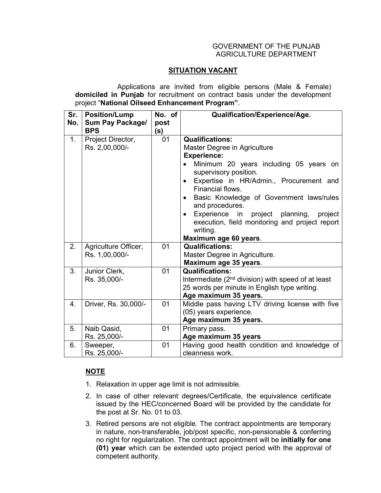## GOVERNMENT OF THE PUNJAB AGRICULTURE DEPARTMENT

## **SITUATION VACANT**

 Applications are invited from eligible persons (Male & Female) **domiciled in Punjab** for recruitment on contract basis under the development project "**National Oilseed Enhancement Program"**.

| Sr.<br>No. | <b>Position/Lump</b><br>Sum Pay Package/<br><b>BPS</b> | No. of<br>post<br>(s) | Qualification/Experience/Age.                                                                                                                                                                                                                                                                                                                                                                                                             |
|------------|--------------------------------------------------------|-----------------------|-------------------------------------------------------------------------------------------------------------------------------------------------------------------------------------------------------------------------------------------------------------------------------------------------------------------------------------------------------------------------------------------------------------------------------------------|
| 1.         | Project Director,<br>Rs. 2,00,000/-                    | 01                    | <b>Qualifications:</b><br>Master Degree in Agriculture<br><b>Experience:</b><br>Minimum 20 years including 05 years on<br>supervisory position.<br>Expertise in HR/Admin., Procurement and<br>$\bullet$<br>Financial flows.<br>Basic Knowledge of Government laws/rules<br>and procedures.<br>Experience in project planning, project<br>$\bullet$<br>execution, field monitoring and project report<br>writing.<br>Maximum age 60 years. |
| 2.         | Agriculture Officer,<br>Rs. 1,00,000/-                 | 01                    | <b>Qualifications:</b><br>Master Degree in Agriculture.<br>Maximum age 35 years.                                                                                                                                                                                                                                                                                                                                                          |
| 3.         | Junior Clerk,<br>Rs. 35,000/-                          | 01                    | <b>Qualifications:</b><br>Intermediate (2 <sup>nd</sup> division) with speed of at least<br>25 words per minute in English type writing.<br>Age maximum 35 years.                                                                                                                                                                                                                                                                         |
| 4.         | Driver, Rs. 30,000/-                                   | 01                    | Middle pass having LTV driving license with five<br>(05) years experience.<br>Age maximum 35 years.                                                                                                                                                                                                                                                                                                                                       |
| 5.         | Naib Qasid,<br>Rs. 25,000/-                            | 01                    | Primary pass.<br>Age maximum 35 years                                                                                                                                                                                                                                                                                                                                                                                                     |
| 6.         | Sweeper,<br>Rs. 25,000/-                               | 01                    | Having good health condition and knowledge of<br>cleanness work.                                                                                                                                                                                                                                                                                                                                                                          |

## **NOTE**

- 1. Relaxation in upper age limit is not admissible.
- 2. In case of other relevant degrees/Certificate, the equivalence certificate issued by the HEC/concerned Board will be provided by the candidate for the post at Sr. No. 01 to 03.
- 3. Retired persons are not eligible. The contract appointments are temporary in nature, non-transferable, job/post specific, non-pensionable & conferring no right for regularization. The contract appointment will be **initially for one (01) year** which can be extended upto project period with the approval of competent authority.